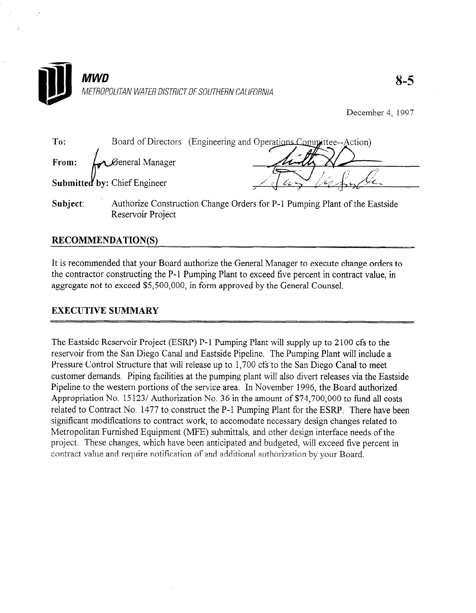

Reservoir Project

December 4. 1997

| To:      | Board of Directors           | (Engineering and Operations Committee--Action)                             |
|----------|------------------------------|----------------------------------------------------------------------------|
| From:    | <b>C</b> eneral Manager      |                                                                            |
|          | Submitted by: Chief Engineer |                                                                            |
| Subject: |                              | Authorize Construction Change Orders for P-1 Pumping Plant of the Eastside |

## RECOMMENDATION(S)

It is recommended that your Board authorize the General Manager to execute change orders to the contractor constructing the P-1 Pumping Plant to exceed five percent in contract value, in aggregate not to exceed \$5,500,000, in form approved by the General Counsel.

### **EXECUTIVE SUMMARY**

The Eastside Reservoir Project (ESRP) P-l Pumping Plant will supply up to 2100 cfs to the The Lasside Reservoir Froject (ESRF)  $I - I$  Fumping Plant will supply up to 2100 Cis to the reservoir from the San Diego Canal and Eastside Pipeline. The Pumping Plant will include a Pressure Control Structure that will release up to 1,700 cfs to the San Diego Canal to meet customer demands. Piping facilities at the pumping plant will also divert releases via the Eastside Pipeline to the western portions of the service area. In November 1996, the Board authorized Appropriation No. 15123/ Authorization No. 36 in the amount of \$74,700,000 to fund all costs related to Contract No. 1477 to construct the P-1 Pumping Plant for the ESRP. There have been significant modifications to contract work, to accomodate necessary design changes related to Metropolitan Furnished Equipment (MFE) submittals, and other design interface needs of the project. These changes, which have been anticipated and budgeted, will exceed five percent in contract value and require notification of and additional authorization by your Board.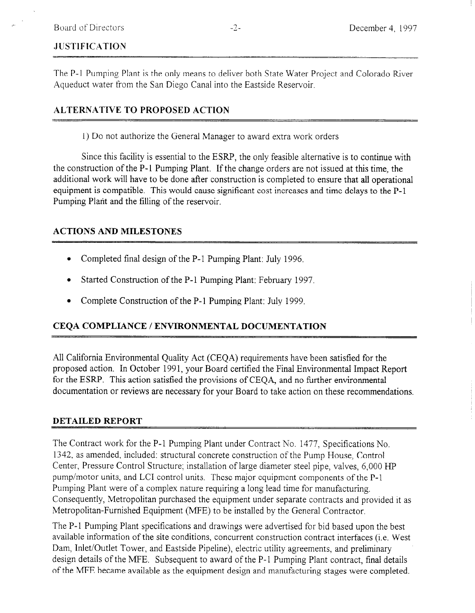# **JUSTIFICATION**

The P-1 Pumping Plant is the only means to deliver both State Water Project and Colorado River Aqueduct water from the San Diego Canal into the Eastside Reservoir.

## ALTERNATIVE TO PROPOSED ACTION

1) Do not authorize the General Manager to award extra work orders

Since this facility is essential to the ESRP, the only feasible alternative is to continue with the construction of the P- 1 Pumping Plant. If the change orders are not issued at this time, the additional work will have to be done after construction is completed to ensure that all operational equipment is compatible. This would cause significant cost increases and time delays to the P-l Pumping Plant and the filling of the reservoir.

### ACTIONS AND MILESTONES

- Completed final design of the P-1 Pumping Plant: July 1996.
- Started Construction of the P-1 Pumping Plant: February 1997.
- Complete Construction of the P-1 Pumping Plant: July 1999.

## CEQA COMPLIANCE / ENVIRONMENTAL DOCUMENTATION

All California Environmental Quality Act (CEQA) requirements have been satisfied for the proposed action. In October 1991, your Board certified the Final Environmental Impact Report for the ESRP. This action satisfied the provisions of CEQA, and no tirther environmental documentation or reviews are necessary for your Board to take action on these recommendations.

### DETAILED REPORT

The Contract work for the P-l Pumping Plant under Contract No. 1477, Specifications No. 1342, as amended, included: structural concrete construction of the Pump House, Control Center, Pressure Control Structure; installation of large diameter steel pipe, valves, 6,000 HP pump/motor units, and LCI control units. These major equipment components of the P-l Pumping Plant were of a complex nature requiring a long lead time for manufacturing. Consequently, Metropolitan purchased the equipment under separate contracts and provided it as Metropolitan-Furnished Equipment (MFE) to be installed by the General Contractor.

The P-1 Pumping Plant specifications and drawings were advertised for bid based upon the best available information of the site conditions, concurrent construction contract interfaces (i.e. West Dam, Inlet/Outlet Tower, and Eastside Pipeline), electric utility agreements, and preliminary design details of the MFE. Subsequent to award of the P-l Pumping Plant contract, final details of the MFE became available as the equipment design and manufacturing stages were completed.